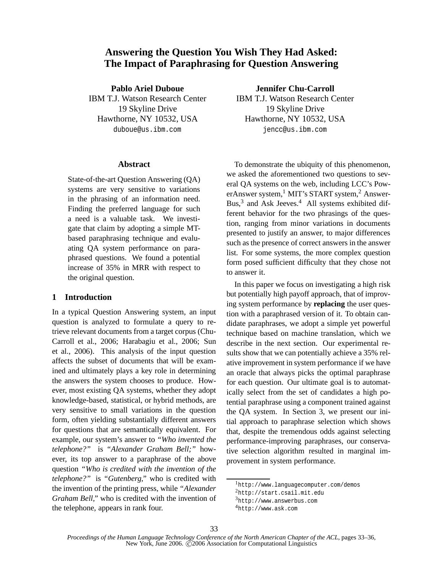# **Answering the Question You Wish They Had Asked: The Impact of Paraphrasing for Question Answering**

**Pablo Ariel Duboue** IBM T.J. Watson Research Center 19 Skyline Drive Hawthorne, NY 10532, USA duboue@us.ibm.com

#### **Abstract**

State-of-the-art Question Answering (QA) systems are very sensitive to variations in the phrasing of an information need. Finding the preferred language for such a need is a valuable task. We investigate that claim by adopting a simple MTbased paraphrasing technique and evaluating QA system performance on paraphrased questions. We found a potential increase of 35% in MRR with respect to the original question.

## **1 Introduction**

In a typical Question Answering system, an input question is analyzed to formulate a query to retrieve relevant documents from a target corpus (Chu-Carroll et al., 2006; Harabagiu et al., 2006; Sun et al., 2006). This analysis of the input question affects the subset of documents that will be examined and ultimately plays a key role in determining the answers the system chooses to produce. However, most existing QA systems, whether they adopt knowledge-based, statistical, or hybrid methods, are very sensitive to small variations in the question form, often yielding substantially different answers for questions that are semantically equivalent. For example, our system's answer to *"Who invented the telephone?"* is *"Alexander Graham Bell;"* however, its top answer to a paraphrase of the above question *"Who is credited with the invention of the telephone?"* is *"Gutenberg,"* who is credited with the invention of the printing press, while *"Alexander Graham Bell,"* who is credited with the invention of the telephone, appears in rank four.

**Jennifer Chu-Carroll** IBM T.J. Watson Research Center 19 Skyline Drive Hawthorne, NY 10532, USA jencc@us.ibm.com

To demonstrate the ubiquity of this phenomenon, we asked the aforementioned two questions to several QA systems on the web, including LCC's PowerAnswer system, $<sup>1</sup>$  MIT's START system, $<sup>2</sup>$  Answer-</sup></sup> Bus,<sup>3</sup> and Ask Jeeves.<sup>4</sup> All systems exhibited different behavior for the two phrasings of the question, ranging from minor variations in documents presented to justify an answer, to major differences such as the presence of correct answers in the answer list. For some systems, the more complex question form posed sufficient difficulty that they chose not to answer it.

In this paper we focus on investigating a high risk but potentially high payoff approach, that of improving system performance by **replacing** the user question with a paraphrased version of it. To obtain candidate paraphrases, we adopt a simple yet powerful technique based on machine translation, which we describe in the next section. Our experimental results show that we can potentially achieve a 35% relative improvement in system performance if we have an oracle that always picks the optimal paraphrase for each question. Our ultimate goal is to automatically select from the set of candidates a high potential paraphrase using a component trained against the QA system. In Section 3, we present our initial approach to paraphrase selection which shows that, despite the tremendous odds against selecting performance-improving paraphrases, our conservative selection algorithm resulted in marginal improvement in system performance.

<sup>1</sup>http://www.languagecomputer.com/demos

<sup>2</sup>http://start.csail.mit.edu

<sup>3</sup>http://www.answerbus.com

<sup>4</sup>http://www.ask.com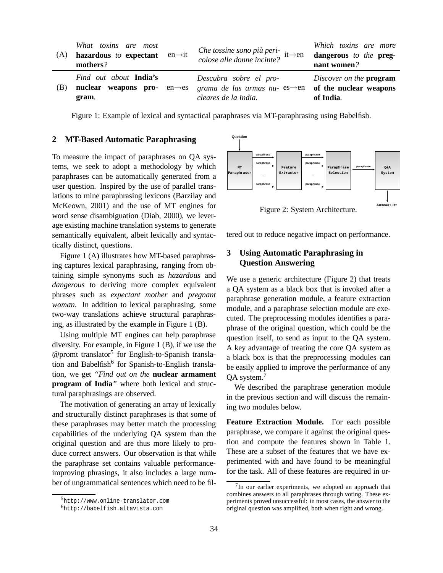| (A) | What toxins are most<br>$en \rightarrow it$<br>hazardous to expectant<br>mothers?     | Che tossine sono più peri-<br>colose alle donne incinte? $it\rightarrow en$                                         | Which toxins are more<br>dangerous to the preg-<br>nant women? |
|-----|---------------------------------------------------------------------------------------|---------------------------------------------------------------------------------------------------------------------|----------------------------------------------------------------|
| (B) | Find out about <b>India's</b><br>nuclear weapons pro-<br>$en \rightarrow es$<br>gram. | Descubra sobre el pro-<br>grama de las armas nu- $es \rightarrow en$ of the nuclear weapons<br>cleares de la India. | Discover on the <b>program</b><br>of India.                    |

Figure 1: Example of lexical and syntactical paraphrases via MT-paraphrasing using Babelfish.

### **2 MT-Based Automatic Paraphrasing**

To measure the impact of paraphrases on QA systems, we seek to adopt a methodology by which paraphrases can be automatically generated from a user question. Inspired by the use of parallel translations to mine paraphrasing lexicons (Barzilay and McKeown, 2001) and the use of MT engines for word sense disambiguation (Diab, 2000), we leverage existing machine translation systems to generate semantically equivalent, albeit lexically and syntactically distinct, questions.

Figure 1 (A) illustrates how MT-based paraphrasing captures lexical paraphrasing, ranging from obtaining simple synonyms such as *hazardous* and *dangerous* to deriving more complex equivalent phrases such as *expectant mother* and *pregnant woman*. In addition to lexical paraphrasing, some two-way translations achieve structural paraphrasing, as illustrated by the example in Figure 1 (B).

Using multiple MT engines can help paraphrase diversity. For example, in Figure 1 (B), if we use the @promt translator<sup>5</sup> for English-to-Spanish translation and Babelfish<sup>6</sup> for Spanish-to-English translation, we get *"Find out on the* **nuclear armament program of India***"* where both lexical and structural paraphrasings are observed.

The motivation of generating an array of lexically and structurally distinct paraphrases is that some of these paraphrases may better match the processing capabilities of the underlying QA system than the original question and are thus more likely to produce correct answers. Our observation is that while the paraphrase set contains valuable performanceimproving phrasings, it also includes a large number of ungrammatical sentences which need to be fil-



Figure 2: System Architecture.

tered out to reduce negative impact on performance.

# **3 Using Automatic Paraphrasing in Question Answering**

We use a generic architecture (Figure 2) that treats a QA system as a black box that is invoked after a paraphrase generation module, a feature extraction module, and a paraphrase selection module are executed. The preprocessing modules identifies a paraphrase of the original question, which could be the question itself, to send as input to the QA system. A key advantage of treating the core QA system as a black box is that the preprocessing modules can be easily applied to improve the performance of any QA system.<sup>7</sup>

We described the paraphrase generation module in the previous section and will discuss the remaining two modules below.

**Feature Extraction Module.** For each possible paraphrase, we compare it against the original question and compute the features shown in Table 1. These are a subset of the features that we have experimented with and have found to be meaningful for the task. All of these features are required in or-

<sup>5</sup>http://www.online-translator.com

<sup>6</sup>http://babelfish.altavista.com

 $7$ In our earlier experiments, we adopted an approach that combines answers to all paraphrases through voting. These experiments proved unsuccessful: in most cases, the answer to the original question was amplified, both when right and wrong.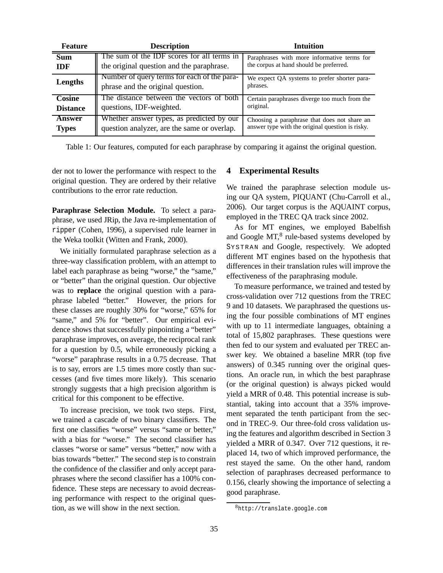| <b>Feature</b>  | <b>Description</b>                                                               | Intuition                                                |
|-----------------|----------------------------------------------------------------------------------|----------------------------------------------------------|
| <b>Sum</b>      | The sum of the IDF scores for all terms in                                       | Paraphrases with more informative terms for              |
| IDF             | the original question and the paraphrase.                                        | the corpus at hand should be preferred.                  |
| Lengths         | Number of query terms for each of the para-<br>phrase and the original question. | We expect QA systems to prefer shorter para-<br>phrases. |
| Cosine          | The distance between the vectors of both                                         | Certain paraphrases diverge too much from the            |
| <b>Distance</b> | questions, IDF-weighted.                                                         | original.                                                |
| Answer          | Whether answer types, as predicted by our                                        | Choosing a paraphrase that does not share an             |
| <b>Types</b>    | question analyzer, are the same or overlap.                                      | answer type with the original question is risky.         |

Table 1: Our features, computed for each paraphrase by comparing it against the original question.

der not to lower the performance with respect to the original question. They are ordered by their relative contributions to the error rate reduction.

**Paraphrase Selection Module.** To select a paraphrase, we used JRip, the Java re-implementation of ripper (Cohen, 1996), a supervised rule learner in the Weka toolkit (Witten and Frank, 2000).

We initially formulated paraphrase selection as a three-way classification problem, with an attempt to label each paraphrase as being "worse," the "same," or "better" than the original question. Our objective was to **replace** the original question with a paraphrase labeled "better." However, the priors for these classes are roughly 30% for "worse," 65% for "same," and 5% for "better". Our empirical evidence shows that successfully pinpointing a "better" paraphrase improves, on average, the reciprocal rank for a question by 0.5, while erroneously picking a "worse" paraphrase results in a 0.75 decrease. That is to say, errors are 1.5 times more costly than successes (and five times more likely). This scenario strongly suggests that a high precision algorithm is critical for this component to be effective.

To increase precision, we took two steps. First, we trained a cascade of two binary classifiers. The first one classifies "worse" versus "same or better," with a bias for "worse." The second classifier has classes "worse or same" versus "better," now with a bias towards "better." The second step is to constrain the confidence of the classifier and only accept paraphrases where the second classifier has a 100% confidence. These steps are necessary to avoid decreasing performance with respect to the original question, as we will show in the next section.

# **4 Experimental Results**

We trained the paraphrase selection module using our QA system, PIQUANT (Chu-Carroll et al., 2006). Our target corpus is the AQUAINT corpus, employed in the TREC QA track since 2002.

As for MT engines, we employed Babelfish and Google MT,<sup>8</sup> rule-based systems developed by SYSTRAN and Google, respectively. We adopted different MT engines based on the hypothesis that differences in their translation rules will improve the effectiveness of the paraphrasing module.

To measure performance, we trained and tested by cross-validation over 712 questions from the TREC 9 and 10 datasets. We paraphrased the questions using the four possible combinations of MT engines with up to 11 intermediate languages, obtaining a total of 15,802 paraphrases. These questions were then fed to our system and evaluated per TREC answer key. We obtained a baseline MRR (top five answers) of 0.345 running over the original questions. An oracle run, in which the best paraphrase (or the original question) is always picked would yield a MRR of 0.48. This potential increase is substantial, taking into account that a 35% improvement separated the tenth participant from the second in TREC-9. Our three-fold cross validation using the features and algorithm described in Section 3 yielded a MRR of 0.347. Over 712 questions, it replaced 14, two of which improved performance, the rest stayed the same. On the other hand, random selection of paraphrases decreased performance to 0.156, clearly showing the importance of selecting a good paraphrase.

<sup>8</sup>http://translate.google.com